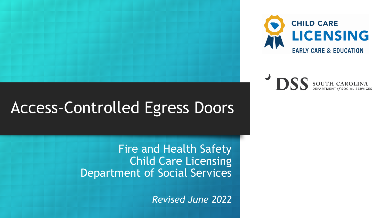



# Access-Controlled Egress Doors

Fire and Health Safety Child Care Licensing Department of Social Services

*Revised June 2022*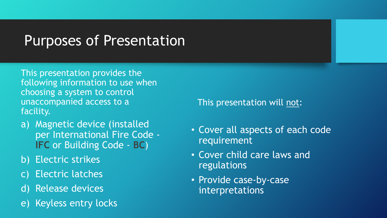# Purposes of Presentation

This presentation provides the following information to use when choosing a system to control unaccompanied access to a facility.

- a) Magnetic device (installed per International Fire Code - **IFC** or Building Code - **BC**)
- b) Electric strikes
- c) Electric latches
- d) Release devices
- e) Keyless entry locks

This presentation will not:

- Cover all aspects of each code requirement
- Cover child care laws and regulations
- Provide case-by-case interpretations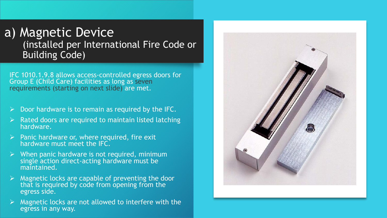## a) Magnetic Device (installed per International Fire Code or Building Code)

IFC 1010.1.9.8 allows access-controlled egress doors for Group E (Child Care) facilities as long as seven requirements (starting on next slide) are met.

- ➢ Door hardware is to remain as required by the IFC.
- ➢ Rated doors are required to maintain listed latching hardware.
- $\triangleright$  Panic hardware or, where required, fire exit hardware must meet the IFC.
- $\triangleright$  When panic hardware is not required, minimum single action direct-acting hardware must be maintained.
- $\triangleright$  Magnetic locks are capable of preventing the door that is required by code from opening from the egress side.
- $\triangleright$  Magnetic locks are not allowed to interfere with the egress in any way.

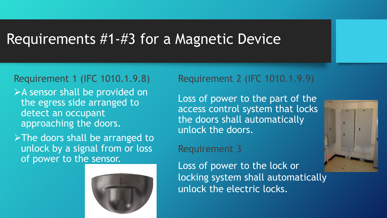## Requirements #1-#3 for a Magnetic Device

#### Requirement 1 (IFC 1010.1.9.8)

➢A sensor shall be provided on the egress side arranged to detect an occupant approaching the doors.

➢The doors shall be arranged to unlock by a signal from or loss of power to the sensor.



### Requirement 2 (IFC 1010.1.9.9)

Loss of power to the part of the access control system that locks the doors shall automatically unlock the doors.

#### Requirement 3

Loss of power to the lock or locking system shall automatically unlock the electric locks.

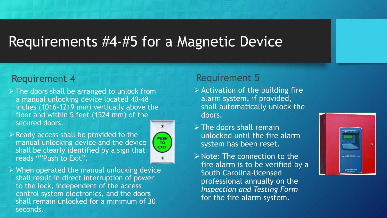# Requirements #4-#5 for a Magnetic Device

#### Requirement 4

- $\triangleright$  The doors shall be arranged to unlock from a manual unlocking device located 40-48 inches (1016-1219 mm) vertically above the floor and within 5 feet (1524 mm) of the secured doors.
- $\triangleright$  Ready access shall be provided to the manual unlocking device and the device shall be clearly identified by a sign that reads ""Push to Exit".



 $\triangleright$  When operated the manual unlocking device shall result in direct interruption of power to the lock, independent of the access control system electronics, and the doors shall remain unlocked for a minimum of 30 seconds.

#### Requirement 5

- $\triangleright$  Activation of the building fire alarm system, if provided, shall automatically unlock the doors.
- $\triangleright$  The doors shall remain unlocked until the fire alarm system has been reset.
- $\triangleright$  Note: The connection to the fire alarm is to be verified by a South Carolina-licensed professional annually on the *Inspection and Testing Form* for the fire alarm system.

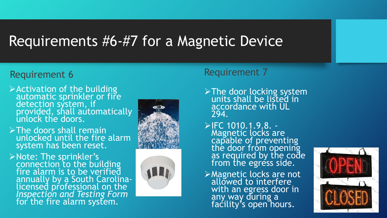# Requirements #6-#7 for a Magnetic Device

## Requirement 6 Requirement 7

- ➢Activation of the building automatic sprinkler or fire detection system, if provided, shall automatically unlock the doors.
- ➢The doors shall remain unlocked until the fire alarm system has been reset.
- ➢Note: The sprinkler's connection to the building fire alarm is to be verified annually by a South Carolinalicensed professional on the *Inspection and Testing Form*  for the fire alarm system.





- ➢The door locking system units shall be listed in accordance with UL 294.
- ➢IFC 1010.1.9.8. Magnetic locks are capable of preventing the door from opening as required by the code from the egress side.
- ➢Magnetic locks are not allowed to interfere with an egress door in any way during a facility's open hours.

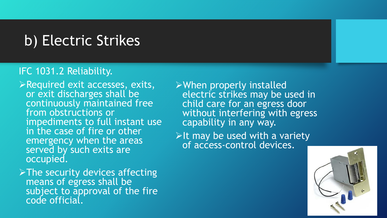# b) Electric Strikes

- ➢Required exit accesses, exits, or exit discharges shall be continuously maintained free from obstructions or impediments to full instant use in the case of fire or other emergency when the areas served by such exits are occupied.
- ➢The security devices affecting means of egress shall be subject to approval of the fire code official.
- ➢When properly installed electric strikes may be used in child care for an egress door without interfering with egress capability in any way.
- $\triangleright$ It may be used with a variety of access-control devices.

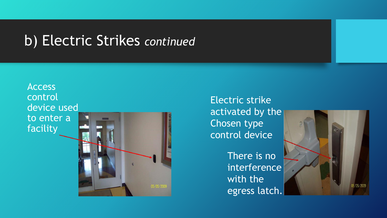# b) Electric Strikes *continued*

Access control device used to enter a facility

Electric strike activated by the Chosen type control device

> There is no interference with the egress latch.

05/05/2009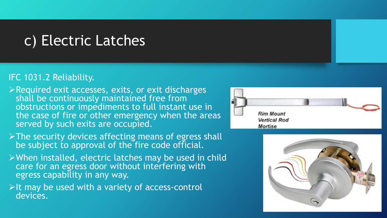# c) Electric Latches

- ➢Required exit accesses, exits, or exit discharges shall be continuously maintained free from obstructions or impediments to full instant use in the case of fire or other emergency when the areas served by such exits are occupied.
- ➢The security devices affecting means of egress shall be subject to approval of the fire code official.
- ➢When installed, electric latches may be used in child care for an egress door without interfering with egress capability in any way.
- $\triangleright$ It may be used with a variety of access-control devices.



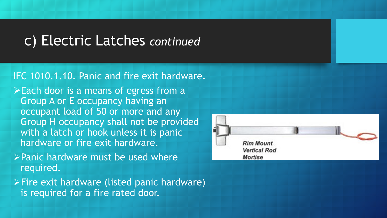## c) Electric Latches *continued*

## IFC 1010.1.10. Panic and fire exit hardware.

 $\triangleright$  Each door is a means of egress from a Group A or E occupancy having an occupant load of 50 or more and any Group H occupancy shall not be provided with a latch or hook unless it is panic hardware or fire exit hardware.

- ➢Panic hardware must be used where required.
- ➢Fire exit hardware (listed panic hardware) is required for a fire rated door.

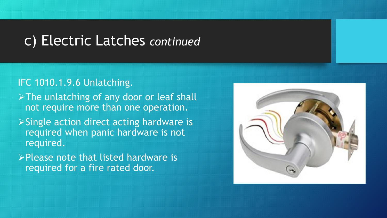## c) Electric Latches *continued*

## IFC 1010.1.9.6 Unlatching.

- ➢The unlatching of any door or leaf shall not require more than one operation.
- ➢Single action direct acting hardware is required when panic hardware is not required.
- ➢Please note that listed hardware is required for a fire rated door.

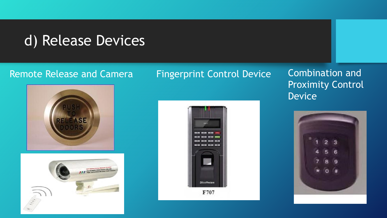# d) Release Devices

## Remote Release and Camera Fingerprint Control Device Combination and







Proximity Control Device

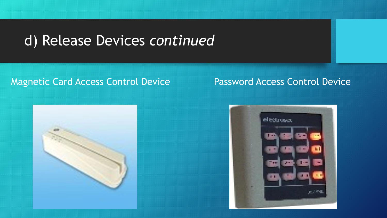# d) Release Devices *continued*

### Magnetic Card Access Control Device Password Access Control Device



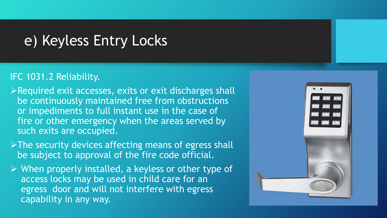## e) Keyless Entry Locks

- ➢Required exit accesses, exits or exit discharges shall be continuously maintained free from obstructions or impediments to full instant use in the case of fire or other emergency when the areas served by such exits are occupied.
- ➢The security devices affecting means of egress shall be subject to approval of the fire code official.
- ➢ When properly installed, a keyless or other type of access locks may be used in child care for an egress door and will not interfere with egress capability in any way.

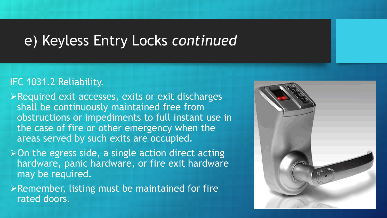## e) Keyless Entry Locks *continued*

- ➢Required exit accesses, exits or exit discharges shall be continuously maintained free from obstructions or impediments to full instant use in the case of fire or other emergency when the areas served by such exits are occupied.
- $\triangleright$  On the egress side, a single action direct acting hardware, panic hardware, or fire exit hardware may be required.
- $\triangleright$  Remember, listing must be maintained for fire rated doors.